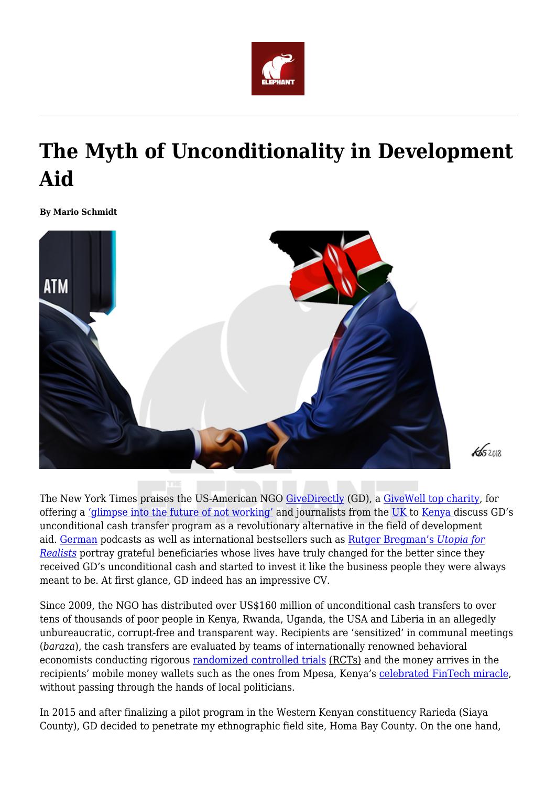

# **The Myth of Unconditionality in Development Aid**

**By Mario Schmidt**



The New York Times praises the US-American NGO [GiveDirectly](https://www.givedirectly.org/) (GD), a [GiveWell top charity,](https://www.givewell.org/charities/top-charities) for offering a ['glimpse into the future of not working'](https://www.nytimes.com/2017/02/23/magazine/universal-income-global-inequality.html) and journalists from the [UK t](https://www.independent.co.uk/news/world/africa/direct-debit-the-charity-givedirectly-donates-cash-straight-to-people-in-need-9081499.html)o [Kenya d](https://www.nation.co.ke/kenya/blogs-opinion/opinion/cash-transfers-best-way-to-give-donations-not-crowded-baraza-647534)iscuss GD's unconditional cash transfer program as a revolutionary alternative in the field of development aid. [German](https://www1.wdr.de/radio/wdr5/sendungen/dok5/grundeinkommen-146.html) podcasts as well as international bestsellers such as [Rutger Bregman's](https://www.bloomsbury.com/uk/utopia-for-realists-9781408890264/) *[Utopia for](https://www.bloomsbury.com/uk/utopia-for-realists-9781408890264/) [Realists](https://www.bloomsbury.com/uk/utopia-for-realists-9781408890264/)* portray grateful beneficiaries whose lives have truly changed for the better since they received GD's unconditional cash and started to invest it like the business people they were always meant to be. At first glance, GD indeed has an impressive CV.

Since 2009, the NGO has distributed over US\$160 million of unconditional cash transfers to over tens of thousands of poor people in Kenya, Rwanda, Uganda, the USA and Liberia in an allegedly unbureaucratic, corrupt-free and transparent way. Recipients are 'sensitized' in communal meetings (*baraza*), the cash transfers are evaluated by teams of internationally renowned behavioral economists conducting rigorous [randomized controlled trials](https://www.givedirectly.org/wp-content/uploads/2019/11/General-Equilibrium-Effects-of-Cash-Transfers.pdf) (RCTs) and the money arrives in the recipients' mobile money wallets such as the ones from Mpesa, Kenya's [celebrated FinTech miracle,](http://roape.net/2018/09/14/the-dangerous-rise-of-the-digital-utopians-across-africa/) without passing through the hands of local politicians.

In 2015 and after finalizing a pilot program in the Western Kenyan constituency Rarieda (Siaya County), GD decided to penetrate my ethnographic field site, Homa Bay County. On the one hand,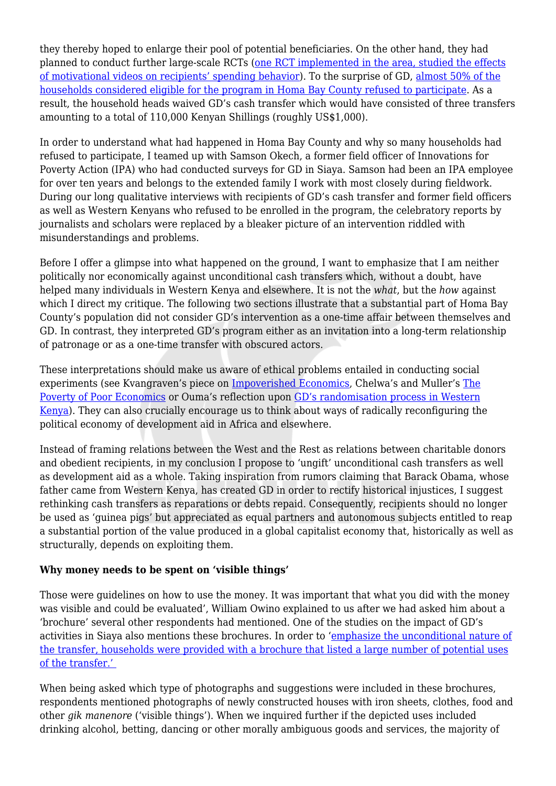they thereby hoped to enlarge their pool of potential beneficiaries. On the other hand, they had planned to conduct further large-scale RCTs ([one RCT implemented in the area, studied the effects](https://www.google.com/url?sa=t&rct=j&q=&esrc=s&source=web&cd=&ved=2ahUKEwjn5qSF_8zrAhVPsKQKHbnKDQcQFjACegQIBhAB&url=https%3A%2F%2Fwww.socialscienceregistry.org%2Fdocs%2Fanalysisplan%2F2134%2Fdocument&usg=AOvVaw2JrSOMpsEYbyq22U6BH7Z6) [of motivational videos on recipients' spending behavior\)](https://www.google.com/url?sa=t&rct=j&q=&esrc=s&source=web&cd=&ved=2ahUKEwjn5qSF_8zrAhVPsKQKHbnKDQcQFjACegQIBhAB&url=https%3A%2F%2Fwww.socialscienceregistry.org%2Fdocs%2Fanalysisplan%2F2134%2Fdocument&usg=AOvVaw2JrSOMpsEYbyq22U6BH7Z6). To the surprise of GD, [almost 50% of the](https://www.givedirectly.org/refusals-in-kenya/) [households considered eligible for the program in Homa Bay County refused to participate.](https://www.givedirectly.org/refusals-in-kenya/) As a result, the household heads waived GD's cash transfer which would have consisted of three transfers amounting to a total of 110,000 Kenyan Shillings (roughly US\$1,000).

In order to understand what had happened in Homa Bay County and why so many households had refused to participate, I teamed up with Samson Okech, a former field officer of Innovations for Poverty Action (IPA) who had conducted surveys for GD in Siaya. Samson had been an IPA employee for over ten years and belongs to the extended family I work with most closely during fieldwork. During our long qualitative interviews with recipients of GD's cash transfer and former field officers as well as Western Kenyans who refused to be enrolled in the program, the celebratory reports by journalists and scholars were replaced by a bleaker picture of an intervention riddled with misunderstandings and problems.

Before I offer a glimpse into what happened on the ground, I want to emphasize that I am neither politically nor economically against unconditional cash transfers which, without a doubt, have helped many individuals in Western Kenya and elsewhere. It is not the *what*, but the *how* against which I direct my critique. The following two sections illustrate that a substantial part of Homa Bay County's population did not consider GD's intervention as a one-time affair between themselves and GD. In contrast, they interpreted GD's program either as an invitation into a long-term relationship of patronage or as a one-time transfer with obscured actors.

These interpretations should make us aware of ethical problems entailed in conducting social experiments (see Kvangraven's piece on [Impoverished Economics](https://www.sciencedirect.com/science/article/abs/pii/S0305750X19304620?dgcid=author), Chelwa's and Muller's [The](https://africasacountry.com/2019/10/the-poverty-of-poor-economics) [Poverty of Poor Economics](https://africasacountry.com/2019/10/the-poverty-of-poor-economics) or Ouma's reflection upon [GD's randomisation process in Western](https://mcusercontent.com/cb1b4baf30d12f021ac20ecde/files/7ee66315-76d1-4b26-a377-1498f7b6d553/COD_Bul_No._1_2020_R.pdf) [Kenya\)](https://mcusercontent.com/cb1b4baf30d12f021ac20ecde/files/7ee66315-76d1-4b26-a377-1498f7b6d553/COD_Bul_No._1_2020_R.pdf). They can also crucially encourage us to think about ways of radically reconfiguring the political economy of development aid in Africa and elsewhere.

Instead of framing relations between the West and the Rest as relations between charitable donors and obedient recipients, in my conclusion I propose to 'ungift' unconditional cash transfers as well as development aid as a whole. Taking inspiration from rumors claiming that Barack Obama, whose father came from Western Kenya, has created GD in order to rectify historical injustices, I suggest rethinking cash transfers as reparations or debts repaid. Consequently, recipients should no longer be used as 'guinea pigs' but appreciated as equal partners and autonomous subjects entitled to reap a substantial portion of the value produced in a global capitalist economy that, historically as well as structurally, depends on exploiting them.

## **Why money needs to be spent on 'visible things'**

Those were guidelines on how to use the money. It was important that what you did with the money was visible and could be evaluated', William Owino explained to us after we had asked him about a 'brochure' several other respondents had mentioned. One of the studies on the impact of GD's activities in Siaya also mentions these brochures. In order to '[emphasize the unconditional nature of](https://www.givedirectly.org/wp-content/uploads/2019/11/General-Equilibrium-Effects-of-Cash-Transfers.pdf) [the transfer, households were provided with a brochure that listed a large number of potential uses](https://www.givedirectly.org/wp-content/uploads/2019/11/General-Equilibrium-Effects-of-Cash-Transfers.pdf) [of the transfer.'](https://www.givedirectly.org/wp-content/uploads/2019/11/General-Equilibrium-Effects-of-Cash-Transfers.pdf) 

When being asked which type of photographs and suggestions were included in these brochures, respondents mentioned photographs of newly constructed houses with iron sheets, clothes, food and other *gik manenore* ('visible things'). When we inquired further if the depicted uses included drinking alcohol, betting, dancing or other morally ambiguous goods and services, the majority of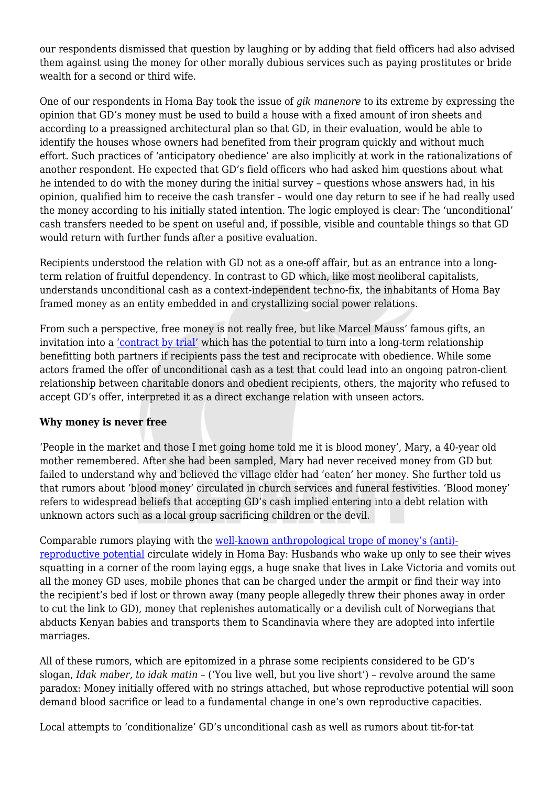our respondents dismissed that question by laughing or by adding that field officers had also advised them against using the money for other morally dubious services such as paying prostitutes or bride wealth for a second or third wife.

One of our respondents in Homa Bay took the issue of *gik manenore* to its extreme by expressing the opinion that GD's money must be used to build a house with a fixed amount of iron sheets and according to a preassigned architectural plan so that GD, in their evaluation, would be able to identify the houses whose owners had benefited from their program quickly and without much effort. Such practices of 'anticipatory obedience' are also implicitly at work in the rationalizations of another respondent. He expected that GD's field officers who had asked him questions about what he intended to do with the money during the initial survey – questions whose answers had, in his opinion, qualified him to receive the cash transfer – would one day return to see if he had really used the money according to his initially stated intention. The logic employed is clear: The 'unconditional' cash transfers needed to be spent on useful and, if possible, visible and countable things so that GD would return with further funds after a positive evaluation.

Recipients understood the relation with GD not as a one-off affair, but as an entrance into a longterm relation of fruitful dependency. In contrast to GD which, like most neoliberal capitalists, understands unconditional cash as a context-independent techno-fix, the inhabitants of Homa Bay framed money as an entity embedded in and crystallizing social power relations.

From such a perspective, free money is not really free, but like Marcel Mauss' famous gifts, an invitation into a ['contract by trial'](https://www.haujournal.org/index.php/hau/article/view/hau7.3.029) which has the potential to turn into a long-term relationship benefitting both partners if recipients pass the test and reciprocate with obedience. While some actors framed the offer of unconditional cash as a test that could lead into an ongoing patron-client relationship between charitable donors and obedient recipients, others, the majority who refused to accept GD's offer, interpreted it as a direct exchange relation with unseen actors.

## **Why money is never free**

'People in the market and those I met going home told me it is blood money', Mary, a 40-year old mother remembered. After she had been sampled, Mary had never received money from GD but failed to understand why and believed the village elder had 'eaten' her money. She further told us that rumors about 'blood money' circulated in church services and funeral festivities. 'Blood money' refers to widespread beliefs that accepting GD's cash implied entering into a debt relation with unknown actors such as a local group sacrificing children or the devil.

Comparable rumors playing with the [well-known anthropological trope of money's \(anti\)](https://www.jstor.org/stable/647285) [reproductive potential](https://www.jstor.org/stable/647285) circulate widely in Homa Bay: Husbands who wake up only to see their wives squatting in a corner of the room laying eggs, a huge snake that lives in Lake Victoria and vomits out all the money GD uses, mobile phones that can be charged under the armpit or find their way into the recipient's bed if lost or thrown away (many people allegedly threw their phones away in order to cut the link to GD), money that replenishes automatically or a devilish cult of Norwegians that abducts Kenyan babies and transports them to Scandinavia where they are adopted into infertile marriages.

All of these rumors, which are epitomized in a phrase some recipients considered to be GD's slogan, *Idak maber, to idak matin –* ('You live well, but you live short') – revolve around the same paradox: Money initially offered with no strings attached, but whose reproductive potential will soon demand blood sacrifice or lead to a fundamental change in one's own reproductive capacities.

Local attempts to 'conditionalize' GD's unconditional cash as well as rumors about tit-for-tat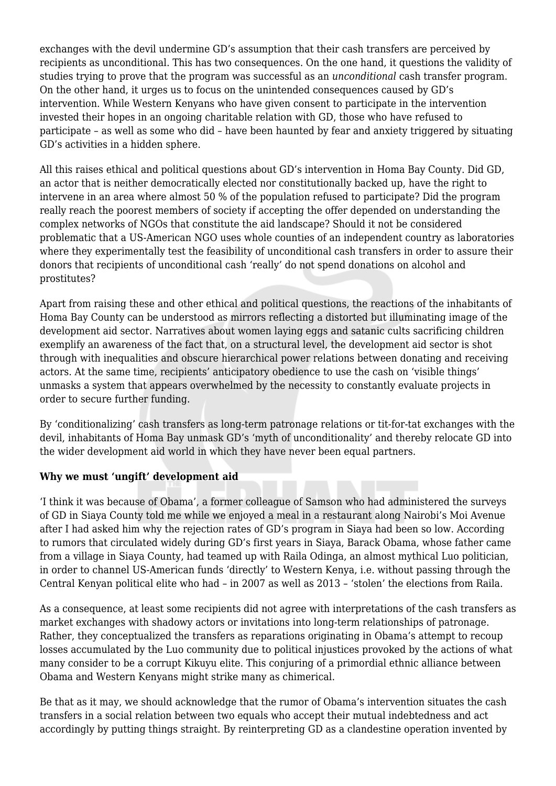exchanges with the devil undermine GD's assumption that their cash transfers are perceived by recipients as unconditional. This has two consequences. On the one hand, it questions the validity of studies trying to prove that the program was successful as an *unconditional* cash transfer program. On the other hand, it urges us to focus on the unintended consequences caused by GD's intervention. While Western Kenyans who have given consent to participate in the intervention invested their hopes in an ongoing charitable relation with GD, those who have refused to participate – as well as some who did – have been haunted by fear and anxiety triggered by situating GD's activities in a hidden sphere.

All this raises ethical and political questions about GD's intervention in Homa Bay County. Did GD, an actor that is neither democratically elected nor constitutionally backed up, have the right to intervene in an area where almost 50 % of the population refused to participate? Did the program really reach the poorest members of society if accepting the offer depended on understanding the complex networks of NGOs that constitute the aid landscape? Should it not be considered problematic that a US-American NGO uses whole counties of an independent country as laboratories where they experimentally test the feasibility of unconditional cash transfers in order to assure their donors that recipients of unconditional cash 'really' do not spend donations on alcohol and prostitutes?

Apart from raising these and other ethical and political questions, the reactions of the inhabitants of Homa Bay County can be understood as mirrors reflecting a distorted but illuminating image of the development aid sector. Narratives about women laying eggs and satanic cults sacrificing children exemplify an awareness of the fact that, on a structural level, the development aid sector is shot through with inequalities and obscure hierarchical power relations between donating and receiving actors. At the same time, recipients' anticipatory obedience to use the cash on 'visible things' unmasks a system that appears overwhelmed by the necessity to constantly evaluate projects in order to secure further funding.

By 'conditionalizing' cash transfers as long-term patronage relations or tit-for-tat exchanges with the devil, inhabitants of Homa Bay unmask GD's 'myth of unconditionality' and thereby relocate GD into the wider development aid world in which they have never been equal partners.

## **Why we must 'ungift' development aid**

'I think it was because of Obama', a former colleague of Samson who had administered the surveys of GD in Siaya County told me while we enjoyed a meal in a restaurant along Nairobi's Moi Avenue after I had asked him why the rejection rates of GD's program in Siaya had been so low. According to rumors that circulated widely during GD's first years in Siaya, Barack Obama, whose father came from a village in Siaya County, had teamed up with Raila Odinga, an almost mythical Luo politician, in order to channel US-American funds 'directly' to Western Kenya, i.e. without passing through the Central Kenyan political elite who had – in 2007 as well as 2013 – 'stolen' the elections from Raila.

As a consequence, at least some recipients did not agree with interpretations of the cash transfers as market exchanges with shadowy actors or invitations into long-term relationships of patronage. Rather, they conceptualized the transfers as reparations originating in Obama's attempt to recoup losses accumulated by the Luo community due to political injustices provoked by the actions of what many consider to be a corrupt Kikuyu elite. This conjuring of a primordial ethnic alliance between Obama and Western Kenyans might strike many as chimerical.

Be that as it may, we should acknowledge that the rumor of Obama's intervention situates the cash transfers in a social relation between two equals who accept their mutual indebtedness and act accordingly by putting things straight. By reinterpreting GD as a clandestine operation invented by